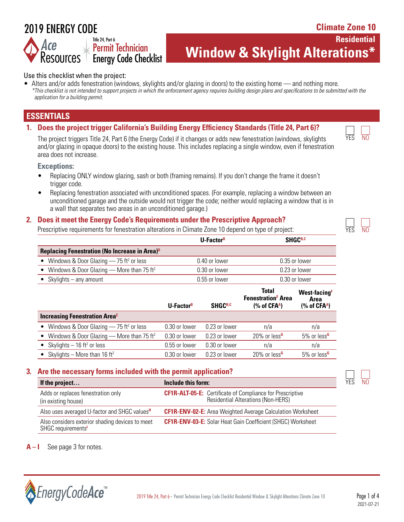# 2019 ENERGY CODE

Resources<sup>1</sup>

**Climate Zone 10**

**Residential** 

 $\overline{\mathsf{N}}$ 

**Window & Skylight Alterations\*** 

#### Use this checklist when the project:

Title 24, Part 6

Permit Technician Energy Code Checklist

• Alters and/or adds fenestration (windows, skylights and/or glazing in doors) to the existing home — and nothing more. *\*This checklist is not intended to support projects in which the enforcement agency requires building design plans and specifications to be submitted with the application for a building permit.*

# **ESSENTIALS**

**1. Does the project trigger California's Building Energy Efficiency Standards (Title 24, Part 6)?**

The project triggers Title 24, Part 6 (the Energy Code) if it changes or adds new fenestration (windows, skylights  $Y^{\overline{\text{ES}}}$ and/or glazing in opaque doors) to the existing house. This includes replacing a single window, even if fenestration area does not increase.

#### **Exceptions:**

- Replacing ONLY window glazing, sash or both (framing remains). If you don't change the frame it doesn't trigger code.
- Replacing fenestration associated with unconditioned spaces. (For example, replacing a window between an unconditioned garage and the outside would not trigger the code; neither would replacing a window that is in a wall that separates two areas in an unconditioned garage.)

#### **2. Does it meet the Energy Code's Requirements under the Prescriptive Approach?**

Prescriptive requirements for fenestration alterations in Climate Zone 10 depend on type of project:

|                                                                  | U-Factor <sup>B</sup> | SHGC <sup>B,C</sup> |
|------------------------------------------------------------------|-----------------------|---------------------|
| <b>Replacing Fenestration (No Increase in Area)</b> <sup>D</sup> |                       |                     |
| • Windows & Door Glazing $-$ 75 ft <sup>2</sup> or less          | 0.40 or lower         | 0.35 or lower       |
| • Windows & Door Glazing — More than 75 ft <sup>2</sup>          | 0.30 or lower         | 0.23 or lower       |
| • Skylights $-$ any amount                                       | 0.55 or lower         | 0.30 or lower       |

|                                                         | U-Factor <sup>B</sup> | <b>SHGCB,C</b> | <b>Total</b><br><b>Fenestration<sup>E</sup></b> Area<br>$%$ of CFA <sup>A</sup> ) | <b>West-facing</b> <sup>F</sup><br>Area<br>$%$ of CFA <sup>A</sup> ) |
|---------------------------------------------------------|-----------------------|----------------|-----------------------------------------------------------------------------------|----------------------------------------------------------------------|
| <b>Increasing Fenestration Area<sup>E</sup></b>         |                       |                |                                                                                   |                                                                      |
| • Windows & Door Glazing $-$ 75 ft <sup>2</sup> or less | 0.30 or lower         | 0.23 or lower  | n/a                                                                               | n/a                                                                  |
| • Windows & Door Glazing - More than 75 ft <sup>2</sup> | 0.30 or lower         | 0.23 or lower  | 20% or less <sup>G</sup>                                                          | 5% or less <sup>G</sup>                                              |
| • Skylights $-16$ ft <sup>2</sup> or less               | 0.55 or lower         | 0.30 or lower  | n/a                                                                               | n/a                                                                  |
| • Skylights – More than 16 ft <sup>2</sup>              | 0.30 or lower         | 0.23 or lower  | 20% or less <sup>G</sup>                                                          | 5% or less <sup>G</sup>                                              |

#### **3. Are the necessary forms included with the permit application?**

| If the project                                                        | Include this form:                                                                                            |  | N <sub>0</sub> |
|-----------------------------------------------------------------------|---------------------------------------------------------------------------------------------------------------|--|----------------|
| Adds or replaces fenestration only<br>(in existing house)             | <b>CF1R-ALT-05-E:</b> Certificate of Compliance for Prescriptive<br><b>Residential Alterations (Non-HERS)</b> |  |                |
| Also uses averaged U-factor and SHGC values <sup>H</sup>              | <b>CF1R-ENV-02-E:</b> Area Weighted Average Calculation Worksheet                                             |  |                |
| Also considers exterior shading devices to meet<br>SHGC requirements' | <b>CF1R-ENV-03-E:</b> Solar Heat Gain Coefficient (SHGC) Worksheet                                            |  |                |

**A – I** See page 3 for notes.

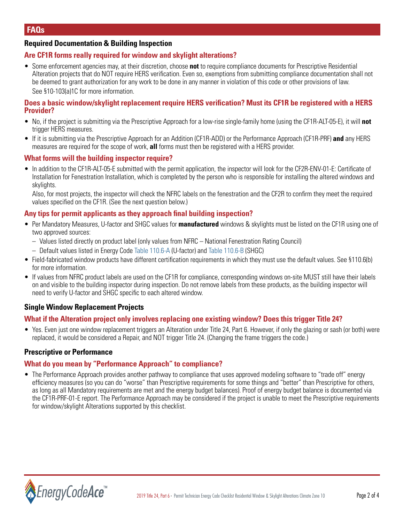### **Required Documentation & Building Inspection**

#### **Are CF1R forms really required for window and skylight alterations?**

• Some enforcement agencies may, at their discretion, choose **not** to require compliance documents for Prescriptive Residential Alteration projects that do NOT require HERS verification. Even so, exemptions from submitting compliance documentation shall not be deemed to grant authorization for any work to be done in any manner in violation of this code or other provisions of law. See §10-103(a)1C for more information.

#### **Does a basic window/skylight replacement require HERS verification? Must its CF1R be registered with a HERS Provider?**

- No, if the project is submitting via the Prescriptive Approach for a low-rise single-family home (using the CF1R-ALT-05-E), it will **not** trigger HERS measures.
- If it is submitting via the Prescriptive Approach for an Addition (CF1R-ADD) or the Performance Approach (CF1R-PRF) **and** any HERS measures are required for the scope of work, **all** forms must then be registered with a HERS provider.

#### **What forms will the building inspector require?**

• In addition to the CF1R-ALT-05-E submitted with the permit application, the inspector will look for the CF2R-ENV-01-E: Certificate of Installation for Fenestration Installation, which is completed by the person who is responsible for installing the altered windows and skylights.

Also, for most projects, the inspector will check the NFRC labels on the fenestration and the CF2R to confirm they meet the required values specified on the CF1R. (See the next question below.)

#### **Any tips for permit applicants as they approach final building inspection?**

- Per Mandatory Measures, U-factor and SHGC values for **manufactured** windows & skylights must be listed on the CF1R using one of two approved sources:
	- Values listed directly on product label (only values from NFRC National Fenestration Rating Council)
	- Default values listed in Energy Code [Table 110.6-A](https://energycodeace.com/site/custom/public/reference-ace-2019/index.html#!Documents/section1106mandatoryrequirementsforfenestrationproductsandexteri.htm) (U-factor) and [Table 110.6-B](https://energycodeace.com/site/custom/public/reference-ace-2019/index.html#!Documents/section1106mandatoryrequirementsforfenestrationproductsandexteri.htm) (SHGC)
- Field-fabricated window products have different certification requirements in which they must use the default values. See §110.6(b) for more information.
- If values from NFRC product labels are used on the CF1R for compliance, corresponding windows on-site MUST still have their labels on and visible to the building inspector during inspection. Do not remove labels from these products, as the building inspector will need to verify U-factor and SHGC specific to each altered window.

#### **Single Window Replacement Projects**

#### **What if the Alteration project only involves replacing one existing window? Does this trigger Title 24?**

• Yes. Even just one window replacement triggers an Alteration under Title 24, Part 6. However, if only the glazing or sash (or both) were replaced, it would be considered a Repair, and NOT trigger Title 24. (Changing the frame triggers the code.)

#### **Prescriptive or Performance**

#### **What do you mean by "Performance Approach" to compliance?**

• The Performance Approach provides another pathway to compliance that uses approved modeling software to "trade off" energy efficiency measures (so you can do "worse" than Prescriptive requirements for some things and "better" than Prescriptive for others, as long as all Mandatory requirements are met and the energy budget balances). Proof of energy budget balance is documented via the CF1R-PRF-01-E report. The Performance Approach may be considered if the project is unable to meet the Prescriptive requirements for window/skylight Alterations supported by this checklist.

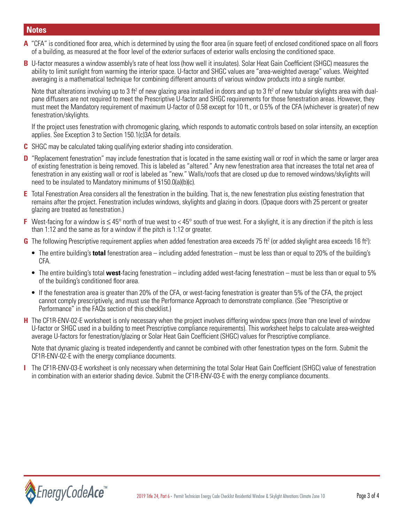# **Notes**

- **A** "CFA" is conditioned floor area, which is determined by using the floor area (in square feet) of enclosed conditioned space on all floors of a building, as measured at the floor level of the exterior surfaces of exterior walls enclosing the conditioned space.
- **B** U-factor measures a window assembly's rate of heat loss (how well it insulates). Solar Heat Gain Coefficient (SHGC) measures the ability to limit sunlight from warming the interior space. U-factor and SHGC values are "area-weighted average" values. Weighted averaging is a mathematical technique for combining different amounts of various window products into a single number.

Note that alterations involving up to 3 ft<sup>2</sup> of new glazing area installed in doors and up to 3 ft<sup>2</sup> of new tubular skylights area with dualpane diffusers are not required to meet the Prescriptive U-factor and SHGC requirements for those fenestration areas. However, they must meet the Mandatory requirement of maximum U-factor of 0.58 except for 10 ft., or 0.5% of the CFA (whichever is greater) of new fenestration/skylights.

If the project uses fenestration with chromogenic glazing, which responds to automatic controls based on solar intensity, an exception applies. See Exception 3 to Section 150.1(c)3A for details.

- **C** SHGC may be calculated taking qualifying exterior shading into consideration.
- **D** "Replacement fenestration" may include fenestration that is located in the same existing wall or roof in which the same or larger area of existing fenestration is being removed. This is labeled as "altered." Any new fenestration area that increases the total net area of fenestration in any existing wall or roof is labeled as "new." Walls/roofs that are closed up due to removed windows/skylights will need to be insulated to Mandatory minimums of §150.0(a)(b)(c).
- **E** Total Fenestration Area considers all the fenestration in the building. That is, the new fenestration plus existing fenestration that remains after the project. Fenestration includes windows, skylights and glazing in doors. (Opaque doors with 25 percent or greater glazing are treated as fenestration.)
- **F** West-facing for a window is ≤ 45° north of true west to < 45° south of true west. For a skylight, it is any direction if the pitch is less than 1:12 and the same as for a window if the pitch is 1:12 or greater.
- G The following Prescriptive requirement applies when added fenestration area exceeds 75 ft<sup>2</sup> (or added skylight area exceeds 16 ft<sup>2</sup>):
	- The entire building's **total** fenestration area including added fenestration must be less than or equal to 20% of the building's CFA.
	- The entire building's total **west**-facing fenestration including added west-facing fenestration must be less than or equal to 5% of the building's conditioned floor area.
	- If the fenestration area is greater than 20% of the CFA, or west-facing fenestration is greater than 5% of the CFA, the project cannot comply prescriptively, and must use the Performance Approach to demonstrate compliance. (See "Prescriptive or Performance" in the FAQs section of this checklist.)
- **H** The CF1R-ENV-02-E worksheet is only necessary when the project involves differing window specs (more than one level of window U-factor or SHGC used in a building to meet Prescriptive compliance requirements). This worksheet helps to calculate area-weighted average U-factors for fenestration/glazing or Solar Heat Gain Coefficient (SHGC) values for Prescriptive compliance.

Note that dynamic glazing is treated independently and cannot be combined with other fenestration types on the form. Submit the CF1R-ENV-02-E with the energy compliance documents.

**I** The CF1R-ENV-03-E worksheet is only necessary when determining the total Solar Heat Gain Coefficient (SHGC) value of fenestration in combination with an exterior shading device. Submit the CF1R-ENV-03-E with the energy compliance documents.